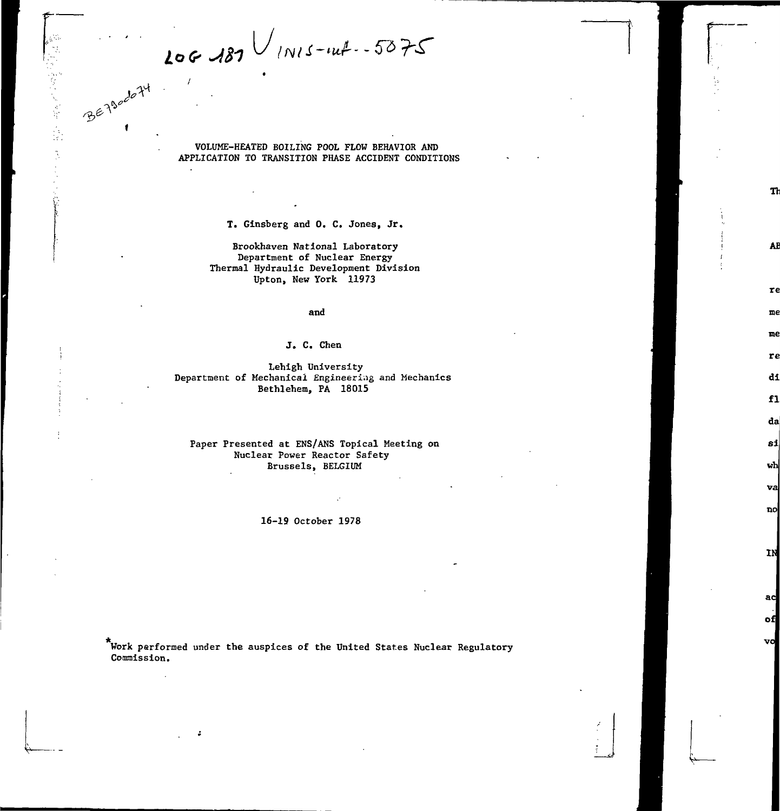$206487$   $\frac{1}{N15-44}$  - 5075

BETSOODTY

等一起,是两个人

VOLUME-HEATED BOILING POOL FLOW BEHAVIOR AND APPLICATION TO TRANSITION PHASE ACCIDENT CONDITIONS

Th

**AE** 

re me me re di  $f1$ da si wh va no

IN

ad of vo

T. Ginsberg and 0. C. Jones, Jr.

Brookhaven National Laboratory Department of Nuclear Energy Thermal Hydraulic Development Division Upton, New York 11973

## and

## J. C. Chen

Lehigh University Department of Mechanical Engineering and Mechanics Bethlehem, PA 18015

# Paper Presented at ENS/ANS Topical Meeting on Nuclear Power Reactor Safety Brussels, BELGIUM

16-19 October 1978

Work performed under the auspices of the United States Nuclear Regulatory Commission.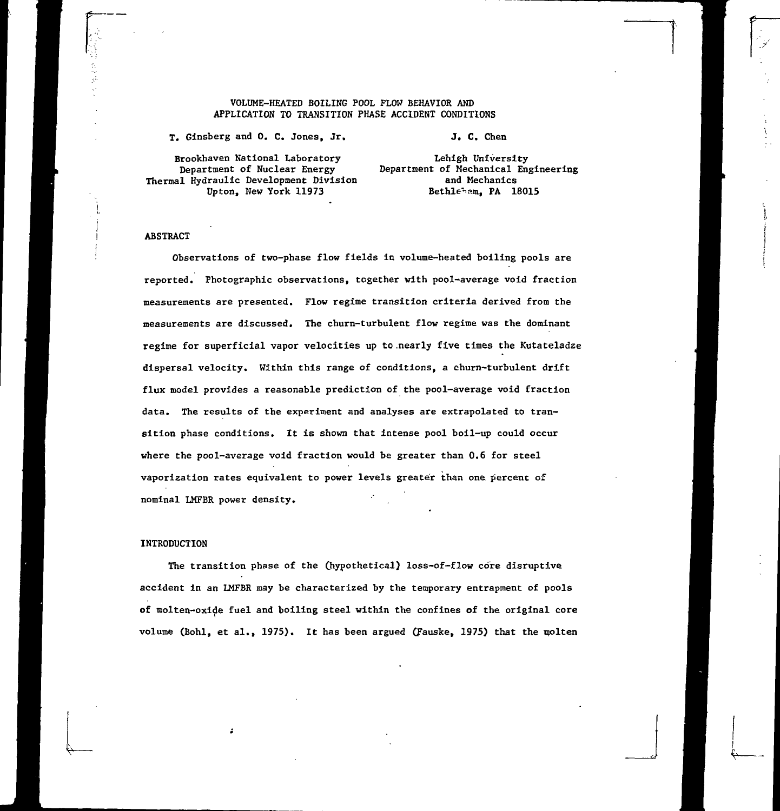#### VOLUME-HEATED BOILING POOL PLOW BEHAVIOR AND APPLICATION TO TRANSITION PHASE ACCIDENT CONDITIONS

T. Ginsberg and 0. C. Jones, Jr.

J. C. Chen

Brookhaven National Laboratory Department of Nuclear Energy Thermal Hydraulic Development Division Upton, New York 11973

Lehigh University Department of Mechanical Engineering and Mechanics Bethleham. PA 18015

#### ABSTRACT

Observations of two-phase flow fields in volume-heated boiling pools are reported. Photographic observations, together with pool-average void fraction measurements are presented. Flow regime transition criteria derived from the measurements are discussed. The churn-turbulent flow regime was the dominant regime for superficial vapor velocities up to.nearly five times the Kutateladze dispersal velocity. Within this range of conditions, a churn-turbulent drift flux model provides a reasonable prediction of the pool-average void fraction data. The results of the experiment and analyses are extrapolated to transition phase conditions. It is shown that intense pool boil-up could occur where the pool-average void fraction would be greater than 0.6 for steel vaporization rates equivalent to power levels greater than one percent of nominal LMFBR power density.

#### INTRODUCTION

The transition phase of the (hypothetical) loss-of-flow core disruptive accident in an LMFBR may be characterized by the temporary entrapment of pools of molten-oxide fuel and boiling steel within the confines of the original core volume (Bohl, et al., 1975). It has been argued (Fauske, 1975) that the molten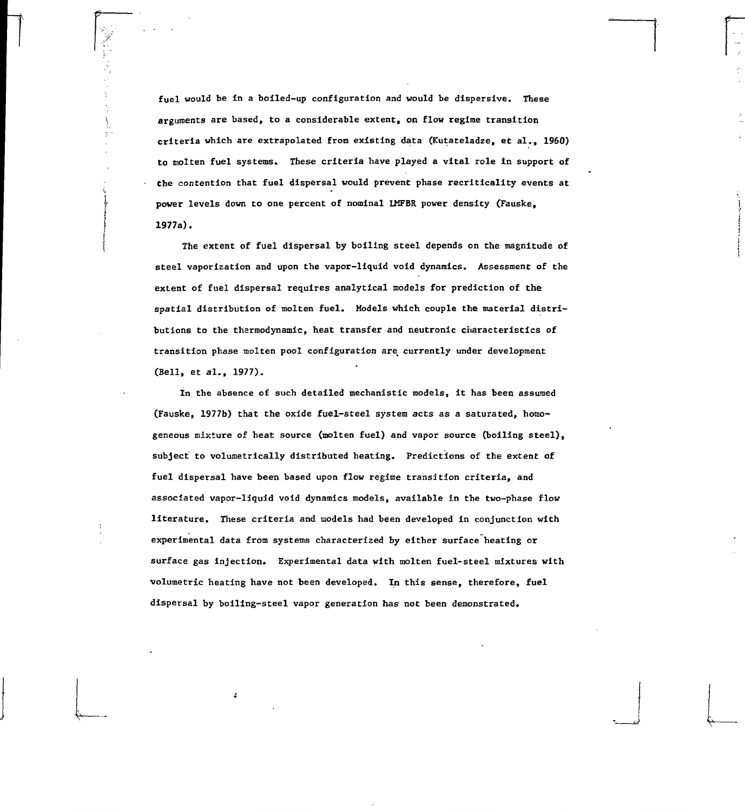fuel would be in a boiled-up configuration and would be dispersive. These arguments are based, to a considerable extent, on flow regime transition criteria which are extrapolated from existing data (Kutateladze, et al., 1960) to molten fuel systems. These criteria have played a vital role in support of the contention that fuel dispersal would prevent phase recriticality events at power levels down to one percent of nominal LMFBR power density (Fauske, 1977a).

The extent of fuel dispersal by boiling steel depends on the magnitude of steel vaporization and upon the vapor-liquid void dynamics. Assessment of the extent of fuel dispersal requires analytical models for prediction of the spatial distribution of molten fuel. Models which couple the material distributions to the thermodynamic, heat transfer and neutronic characteristics of transition phase molten pool configuration are\_ currently under development (Bell, et al., 1977).

In the absence of such detailed mechanistic models, it has been assumed (Fauske, 1977b) that the oxide fuel-steel system acts as a saturated, homogeneous mixture of heat source (molten fuel) and vapor source (boiling steel), subject to volumetrically distributed heating. Predictions of the extent of fuel dispersal have been based upon flow regime transition criteria, and associated vapor-liquid void dynamics models, available in the two-phase flow literature. These criteria and models had been developed in conjunction with experimental data from systems characterized by either surface heating or surface gas injection. Experimental data with molten fuel-steel mixtures with volumetric heating have not been developed. In this sense, therefore, fuel dispersal by boiling-steel vapor generation has not been demonstrated.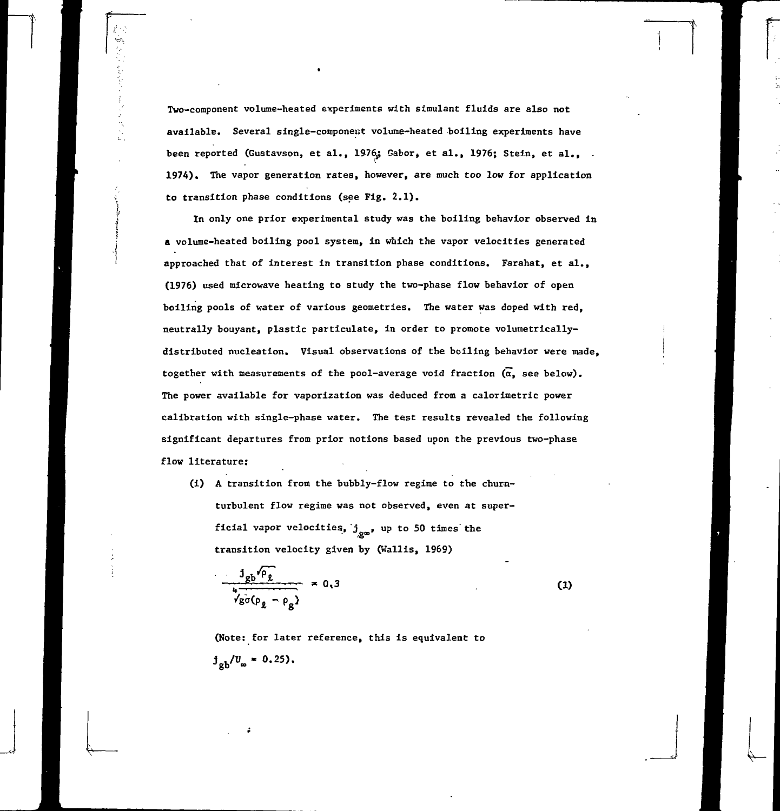Two-component volume-heated experiments with simulant fluids are also not available. Several single-componexit volume-heated boiling experiments have been reported (Gustavson, et al., 1976; Gabor, et al., 1976; Stein, et al., **1974).** The vapor generation rates, however, are much too low for application to transition phase conditions (see Fig. 2.1).

In only one prior experimental study was the boiling behavior observed in a volume-heated boiling pool system, in which the vapor velocities generated approached that of interest in transition phase conditions. Farahat, et al., (1976) used microwave heating to study the two-phase flow behavior of open boiling pools of water of various geometries. The water was doped with red, neutrally bouyant, plastic particulate, in order to promote volumetricallydistributed nucleation. Visual observations of the boiling behavior were made, together with measurements of the pool-average void fraction  $(\alpha, s)$  see below). The power available for vaporization was deduced from a calorimetric power calibration with single-phase water. The test results revealed the following significant departures from prior notions based upon the previous two-phase flow literature:

(i) A transition from the bubbly-flow regime to the churnturbulent flow regime was not observed, even at superficial vapor velocities,  $j_{\rm gas}$ , up to 50 times the transition velocity given by (Wallis, 1969)

$$
\frac{J_{gb}\sqrt{\rho_{\ell}}}{\sqrt{\rho_{g}(\rho_{\ell}-\rho_{g})}} = 0.3
$$
 (1)

(Note: for later reference, this is equivalent to $j_{gb}/v_{\infty} = 0.25$ .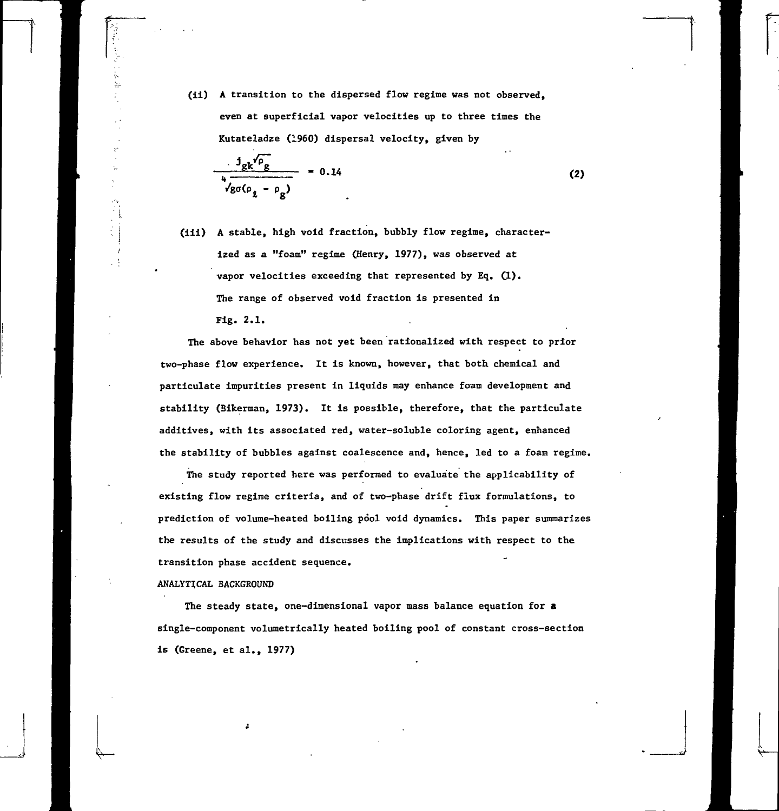(ii) A transition to the dispersed flow regime was not observed, even at superficial vapor velocities up to three times the Kutateladze (i960) dispersal velocity, given by

$$
\frac{J_{gk}v_{\rho}}{v_{g\sigma(\rho_{g}-\rho_{g})}} = 0.14
$$
 (2)

(iii) A stable, high void fraction, bubbly flow regime, characterized as a "foam" regime (Henry, 1977), was observed at vapor velocities exceeding that represented by Eq.  $(1)$ . The range of observed void fraction is presented in Fig. 2.1.

The above behavior has not yet been rationalized with respect to prior two-phase flow experience. It is known, however, that both chemical and particulate impurities present in liquids may enhance foam development and stability (Bikerman, 1973). It is possible, therefore, that the particulate additives, with its associated red, water-soluble coloring agent, enhanced the stability of bubbles against coalescence and, hence, led to a foam regime.

The study reported here was performed to evaluate the applicability of existing flow regime criteria, and of two-phase drift flux formulations, to prediction of volume-heated boiling pool void dynamics. This paper summarizes the results of the study and discusses the implications with respect to the transition phase accident sequence.

#### ANALYTICAL BACKGROUND

The steady state, one-dimensional vapor mass balance equation for a single-component volumetrically heated boiling pool of constant cross-section is (Greene, et al., 1977)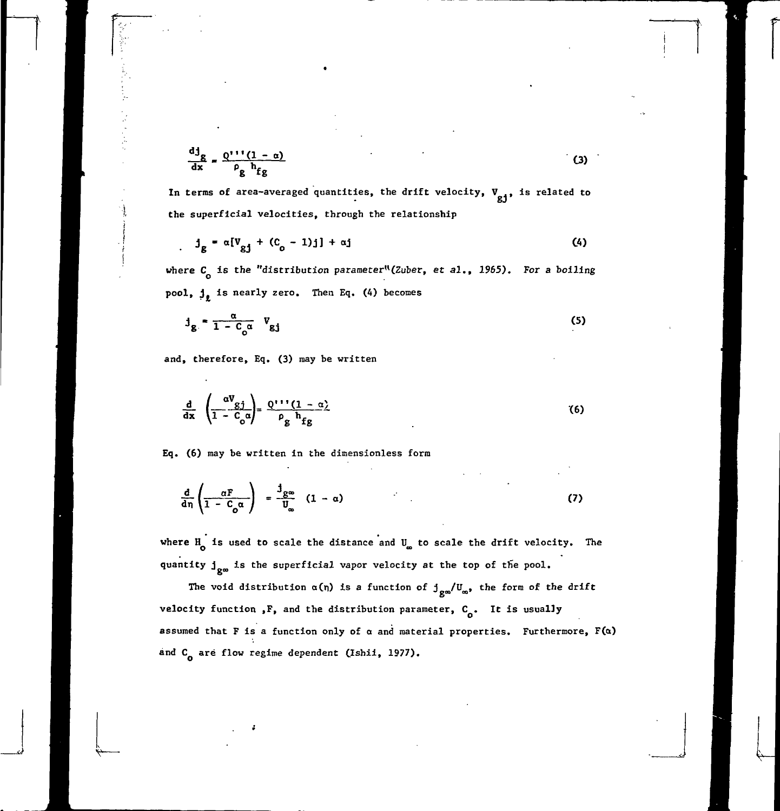$$
\frac{dJ_g}{dx} = \frac{Q' \cdot (1 - \alpha)}{\rho_g h_{fg}}
$$
 (3)

In terms of area-averaged quantities, the drift velocity,  $V_{gj}$ , is related to **the superficial velocities, through the relationship**

$$
j_g = \alpha [V_{gj} + (C_o - 1)j] + \alpha j \tag{4}
$$

where C<sub>o</sub> is the "distribution parameter"(Zuber, et al., 1965). For a boiling pool,  $j_{\ell}$  is nearly zero. Then Eq. (4) becomes

$$
J_g = \frac{\alpha}{1 - C_o \alpha} V_{gj}
$$
 (5)

**and, therefore, Eq. (3) may be written**

$$
\frac{d}{dx} \left( \frac{\alpha V_{gj}}{1 - C_o \alpha} \right) = \frac{Q^{111} (1 - \alpha)}{\rho_g h_{fg}}
$$
 (6)

Eq. (6) may be written in the dimensionless form

$$
\frac{d}{d\eta}\left(\frac{\alpha F}{1-C_0\alpha}\right) = \frac{3g\omega}{U_\infty} (1-\alpha)
$$
 (7)

where H<sub>o</sub> is used to scale the distance and U<sub>ne</sub> to scale the drift velocity. The quantity  $j_{\alpha\alpha}$  is the superficial vapor velocity at the top of the pool.

The void distribution  $\alpha(\eta)$  is a function of  $j_{\text{gas}}/U_{\infty}$ , the form of the drift velocity function ,F, and the distribution parameter, C<sub>o</sub>. It is usually assumed that F is a function only of  $\alpha$  and material properties. Furthermore,  $F(\alpha)$ and C<sub>o</sub> are flow regime dependent (Ishii, 1977).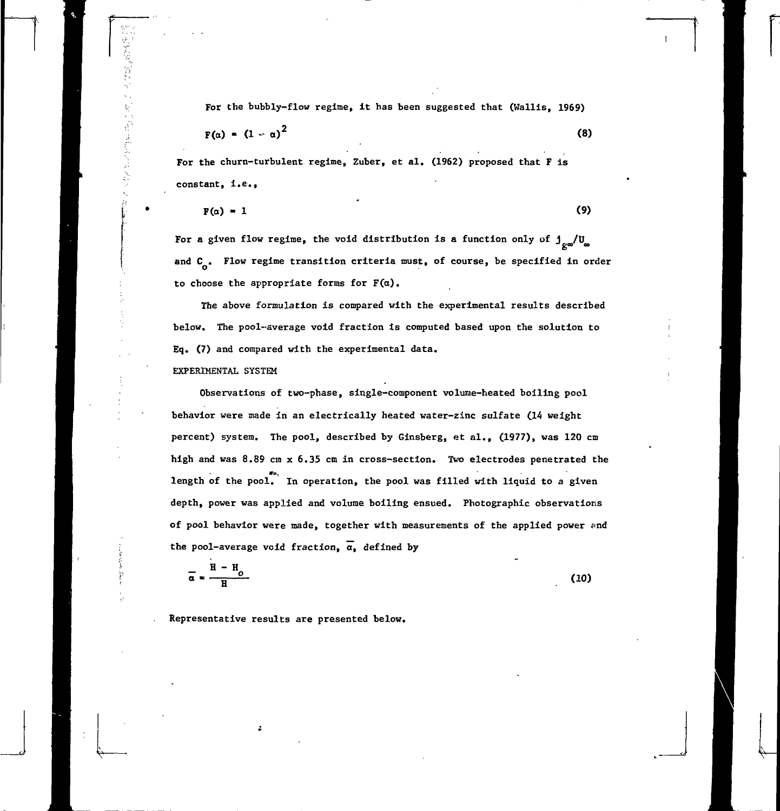For the bubbly-flow regime, it has been suggested that (Wallis, 1969)

$$
F(\alpha) = (1 - \alpha)^2 \tag{8}
$$

**For** the churn-turbulent regime, Zuber, et al. (1962) proposed that F is constant, i.e.,

$$
F(\alpha) = 1 \tag{9}
$$

For a given flow regime, the void distribution is a function only of  $j_{\text{cm}}/U_{\text{m}}$ and  $C_{\alpha}$ . Flow regime transition criteria must, of course, be specified in order to choose the appropriate forms for  $F(\alpha)$ .

The above formulation is compared with the experimental results described below. The pool-average void fraction is computed based upon the solution to Eq. (7) and compared with the experimental data.

## EXPERIMENTAL SYSTEM

Observations of two-phase, single-component volume-heated boiling pool behavior were made in an electrically heated water-zinc sulfate (14 weight percent) system. The pool, described by Ginsberg, et al., (1977), was 120 cm high and was 8.89 cm x 6.35 cm in cross-section. Two electrodes penetrated the length of the pool. In operation, the pool was filled with liquid to a given depth, power was applied and volume boiling ensued. Photographic observations of pool behavior were made, together with measurements of the applied power and the pool-average void fraction,  $\alpha$ , defined by

$$
\overline{\alpha} = \frac{H - H_o}{H}
$$
 (10)

Representative results are presented below.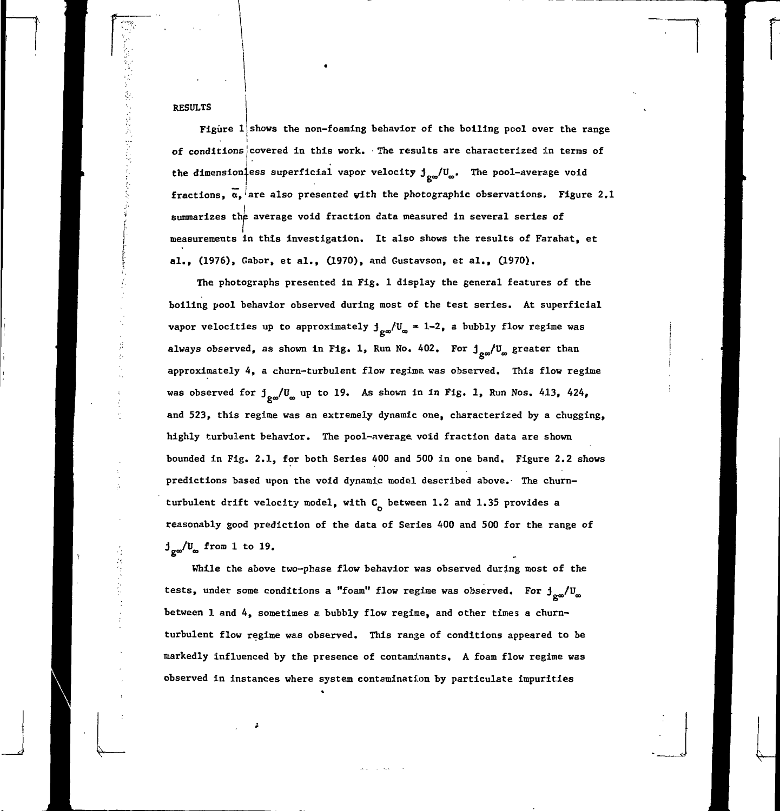## RESULTS

Figure 1 shows the non-foaming behavior of the boiling pool over the range of conditionsjcovered in this work. The results are characterized in terms of the dimension ess superficial vapor velocity  $j_{\rm gas}/U_{\rm gas}$ . The pool-average void fractions,  $\alpha$ , are also presented with the photographic observations. Figure 2.1 summarizes the average void fraction data measured in several series of measurements in this investigation. It also shows the results of Farahat, et al., (1976), Gabor, et al., (1970), and Gustavson, et al., (1970).

The photographs presented in Fig. 1 display the general features of the boiling pool behavior observed during most of the test series. At superficial vapor velocities up to approximately  $j_{\text{ga}}/U_{\infty} = 1-2$ , a bubbly flow regime was 6 always observed, as shown in Fig. 1, Run No. 402. For  $\rm j_{\rm g\omega}/\rm U_{\rm \omega}$  greater than approximately 4, a churn-turbulent flow regime was observed. This flow regime was observed for  $j_{\alpha\alpha}/U_{\alpha}$  up to 19. As shown in in Fig. 1, Run Nos. 413, 424, and 523, this regime was an extremely dynamic one, characterized by a chugging, highly turbulent behavior. The pool-average, void fraction data are shown bounded in Fig. 2.1, for both Series 400 and 500 in one band. Figure 2.2 shows predictions based upon the void dynamic model described above.- The churnturbulent drift velocity model, with  $C_{\alpha}$  between 1.2 and 1.35 provides a reasonably good prediction of the data of Series 400 and 500 for the range of  $\texttt{j}_{\texttt{g}\infty}/\texttt{U}_{\texttt{\infty}}$  from 1 to 19

While the above two-phase flow behavior was observed during most of the tests, under some conditions a "foam" flow regime was observed. For  $j_{\alpha\alpha}/U_{\alpha}$ between 1 and 4, sometimes a bubbly flow regime, and other times a churnturbulent flow regime was observed. This range of conditions appeared to be markedly influenced by the presence of contaminants, A foam flow regime was observed in instances where system contamination by particulate impurities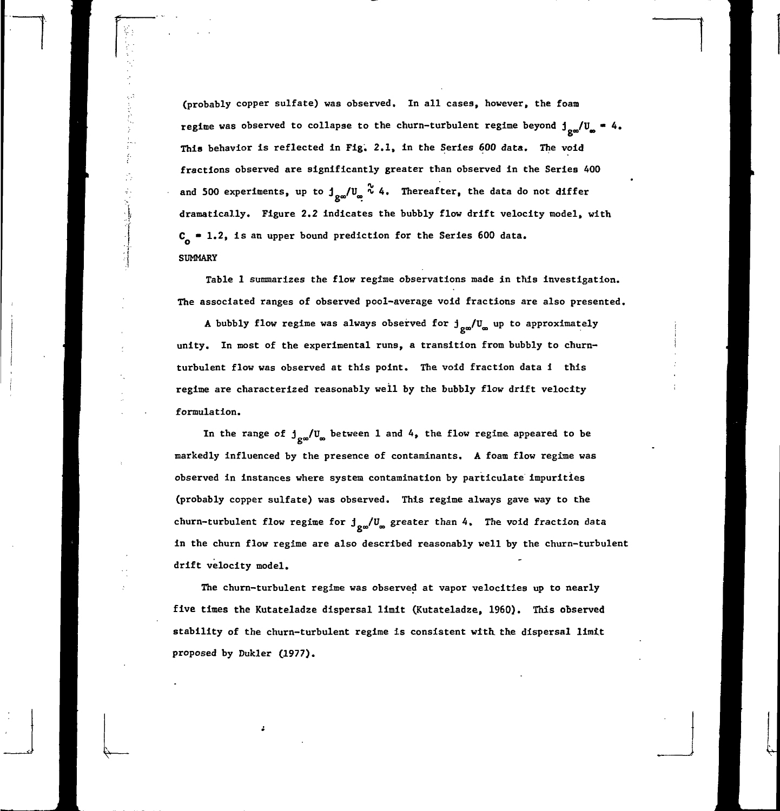**(probably copper sulfate) was observed. In all cases, however, the foam** regime was observed to collapse to the churn-turbulent regime beyond  $j_{\alpha\alpha}/U_{\alpha} = 4$ . **This behavior is reflected in Fig. 2.1, in the Series 600 data.. The void fractions observed are significantly greater than observed in the Series 400** and 500 experiments, up to  $\int_{\mathcal{Q}^{\infty}} \int_{\mathcal{Q}}^{\infty} 4$ . Thereafter, the data do not differ **dramatically. Figure 2.2 indicates the bubbly flow drift velocity model, with C • 1.2, is an upper bound prediction for the Series 600 data. SUMMARY**

**Table 1 summarizes the flow regime observations made in this investigation. The associated ranges of observed pool-average void fractions are also presented.**

A bubbly flow regime was always observed for  $j_{\text{ga}}/U_{\text{ga}}$  up to approximately **unity. In most of the experimental runs, a transition from bubbly to churn**turbulent flow was observed at this point. The void fraction data i this **regime are characterized reasonably well by the bubbly flow drift velocity formulation.**

In the range of  $j_{\text{gas}}/U_{\text{gas}}$  between 1 and 4, the flow regime appeared to be **markedly influenced by the presence of contaminants. A foam flow regime was observed in instances where system contamination by particulate impurities (probably copper sulfate) was observed. This regime always gave way to the** churn-turbulent flow regime for  $j_{\alpha}$ /U<sub>∞</sub> greater than 4, The void fraction data **in the churn flow regime are also described reasonably well by the churn-turbulent drift velocity model.**

**The churn-turbulent regime was observed at vapor velocities up to nearly five times the Kutateladze dispersal limit (Kutateladze, 1960). This observed stability of the churn-turbulent regime is consistent with, the dispersal limit proposed by Dukler (1977).**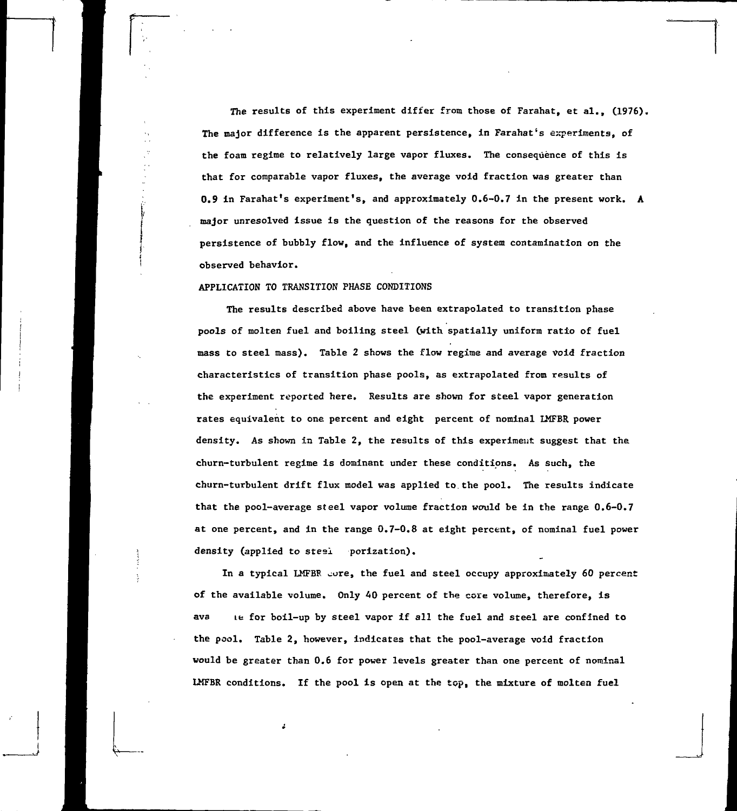The results of this experiment differ from those of Farahat, et al., (1976). The major difference is the apparent persistence, in Farahat's experiments, of the foam regime to relatively large vapor fluxes. The consequence of this is **that** for comparable vapor fluxes, the average void fraction was greater than 0.9 in Farahat's experiment's, and approximately 0.6-0.7 in the present work. A major unresolved issue is the question of the reasons for the observed persistence of bubbly flow, and the influence of system contamination on the observed behavior.

### APPLICATION TO TRANSITION PHASE CONDITIONS

The results described above have been extrapolated to transition phase pools of molten fuel and boiling steel Cwith spatially uniform ratio of fuel mass to steel mass). Table 2 shows the flow regime and average Void fraction characteristics of transition phase pools, as extrapolated from results of the experiment reported here. Results are shown for steel vapor generation rates equivalent to one percent and eight percent of nominal IMFBR power density. As shown in Table 2, the results of this experiment suggest that the churn-turbulent regime is dominant under these conditions. As such, the churn-turbulent drift flux model was applied to.the pool. The results indicate that the pool-average steel vapor volume fraction would be in the range **0.6-0.7** at one percent, and in the range 0.7-0.8 at eight percent, of nominal fuel power density (applied to stesi porization).

In a typical LMFBR core, the fuel and steel occupy approximately 60 percent of the available volume. Only 40 percent of the core volume, therefore, is ava Le for boil-up by steel vapor if all the fuel and steel are confined to the pool. Table 2, however, indicates that the pool-average void fraction would be greater than 0.6 for power levels greater than one percent of nominal LMFBR conditions. If the pool is open at the top, the mixture of molten fuel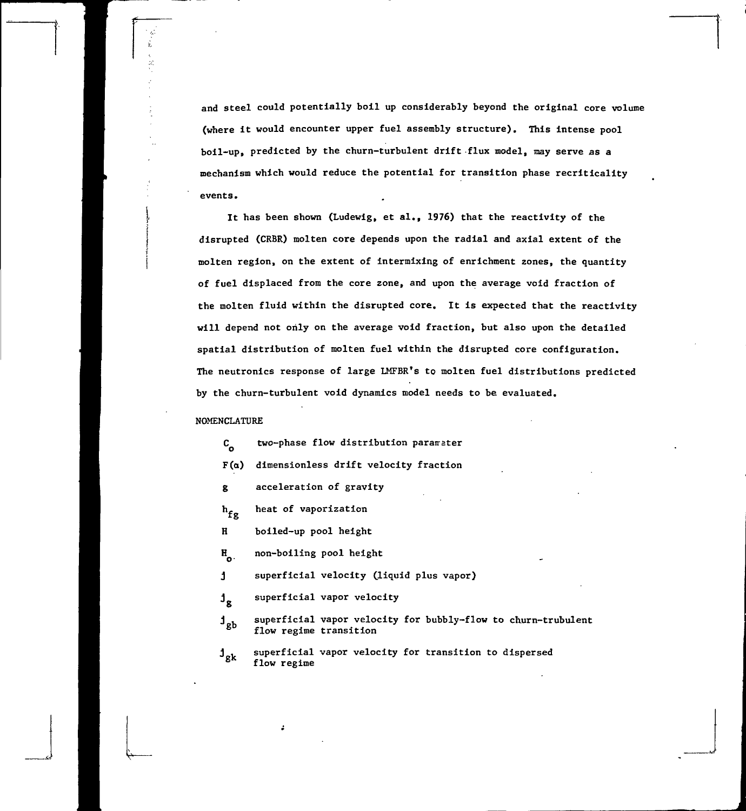**and steel could potentially boil up considerably beyond the original core volume (where it would encounter upper fuel assembly structure). This intense pool boil-up, predicted by the churn-turbulent drift flux model, may serve as a mechanism which would reduce the potential for transition phase recriticality events.**

**It has been shown (Ludewig, et al., 1976) that the reactivity of the disrupted (CRBR) molten core depends upon the radial and axial extent of the molten region, on the extent of intermixing of enrichment zones, the quantity of fuel displaced from the core zone, and upon the average void fraction of the molten fluid within the disrupted core. It is expected that the reactivity will depend not only on the average void fraction, but also upon the detailed spatial distribution of molten fuel within the disrupted core configuration. The neutronics response of large LMFBR's to molten fuel distributions predicted by the churn-turbulent void dynamics model needs to be evaluated.**

### **NOMENCLATURE**

**C** two-phase flow distribution paramater

- **F(a) dimensionless drift velocity fraction**
- **g acceleration of gravity**
- $h_{\mathbf{fg}}$ **heat of vaporization**
- **H boiled-up pool height**
- **H non-boiling pool height**
- **j superficial velocity (liquid plus vapor)**
- **j**<sub>g</sub> superficial vapor velocity
- superficial vapor velocity for bubbly-flow to churn-trubulent **flow regime transition ]gb**

 $j_{\text{ek}}$  superficial vapor velocity for transition to dispersed **flow regime**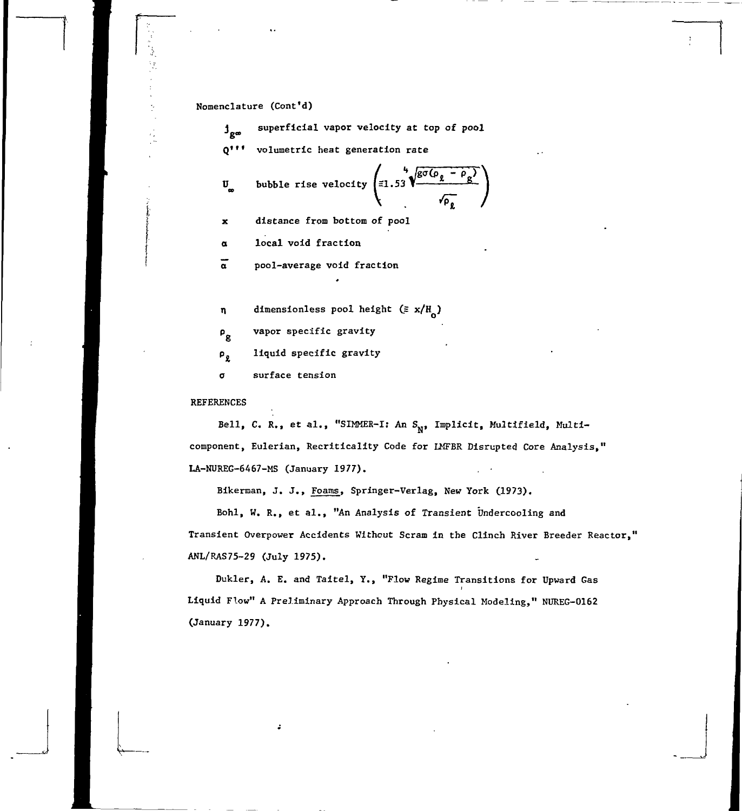Nomenclature (Cont'd)

 $^1$ g∞ superficial vapor velocity at top of pool Q<sup>\*\*\*</sup> volumetric heat generation rate

$$
\mathbf{U}_{\mathbf{g}} \qquad \text{bubble rise velocity} \begin{pmatrix} 4 \\ \tilde{=} 1.53 \end{pmatrix} \begin{pmatrix} 4 \\ 2 \end{pmatrix}
$$

x distance from bottom of pool

a local void fraction

a pool-average void fraction

 $n$  dimensionless pool height ( $\equiv x/H_2$ )

 $p_g$  vapor specific gravity

liquid specific gravity  $P_{\ell}$ 

a surface tension

### **REFERENCES**

Bell, C. R., et al., "SIMMER-I: An S<sub>N</sub>, Implicit, Multifield, Multicomponent, Eulerian, Recriticality Code for UfFBR Disrupted Core Analysis," LA-NUREG-6467-MS (January 1977).

o

Bikerman, J. J., Foams, Springer-Verlag, New York (1973).

Bohl, W. R., et al., "An Analysis of Transient Undercooling and Transient Overpower Accidents Without Scram in the Clinch River Breeder Reactor," ANL/RAS75-29 (July 1975).

Dukler, A. E. and Taitel, Y., "Flow Regime Transitions for Upward Gas Liquid Flow" A Preliminary Approach Through Physical Modeling," NUREG-0162 (January 1977).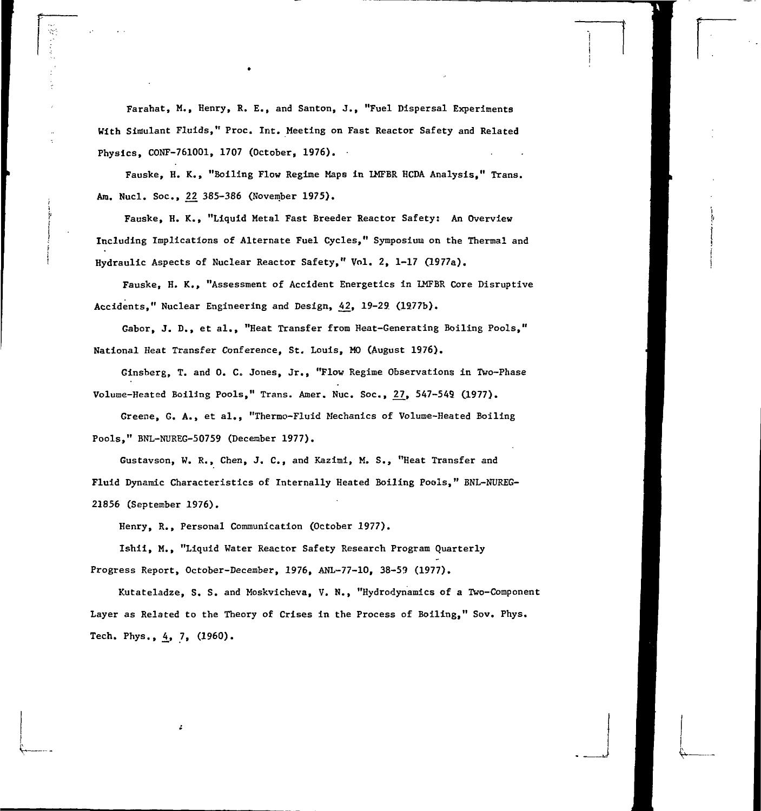Farahat, M., Henry, R. E., and Santon, J., "Fuel Dispersal Experiments With Simulant Fluids," Proc, Int. Meeting on Fast Reactor Safety and Related Physics, CONF-761001, 1707 (October, 1976).

Fauske, H. K., "Boiling Flow Regime Maps in LMFBR HCDA Analysis," Trans. Am. Nucl. Soc, £2 385-386 (November 1975).

Fauske, H. K., "Liquid Metal Fast Breeder Reactor Safety: An Overview Including Implications of Alternate Fuel Cycles," Symposium on the Thermal and Hydraulic Aspects of Nuclear Reactor Safety," Vol. 2, 1-17 (1977a).

Fauske, H. K., "Assessment of Accident Energetics in LMFBR Core Disruptive Accidents," Nuclear Engineering and Design, 42, 19-29. (1277b).

Gabor, J. D., et al., "Heat Transfer from Heat-Generating Boiling Pools," National Heat Transfer Conference, St. Louis, MO (August 1976).

Ginsberg, T. and 0. C. Jones, Jr., "Flow Regime Observations in Two-Phase Volume-Heated Boiling Pools," Trans. Amer. Nuc. Soc., 27, 547-549 (1977).

Greene, G. A., et al., "Thermo-Fluid Mechanics of Volume-Heated Boiling Pools," BNL-NUREG-50759 (December 1977).

Gustavson, W. R., Chen, J. C., and Kazimi, M. S., "Heat Transfer and Fluid Dynamic Characteristics of Internally Heated Boiling Pools," BNL-NUREG-21856 (September 1976).

Henry, R., Personal Communication (October 1977).

Ishii, M., "Liquid Water Reactor Safety Research Program Quarterly Progress Report, October-December, 1976, ANL-77-10, 38-59 (1977).

Kutateladze, S. S. and Moskvicheva, V. N., "Hydrodynamics of a Two-Component Layer as Related to the Theory of Crises in the Process of Boiling," Sov. Phys. Tech. Phys.,  $4, 7, (1960)$ .

 $\stackrel{\scriptscriptstyle \rm \scriptscriptstyle \rm \scriptscriptstyle \rm \scriptscriptstyle \rm \scriptscriptstyle L}{\scriptscriptstyle \scriptscriptstyle \rm \sim}$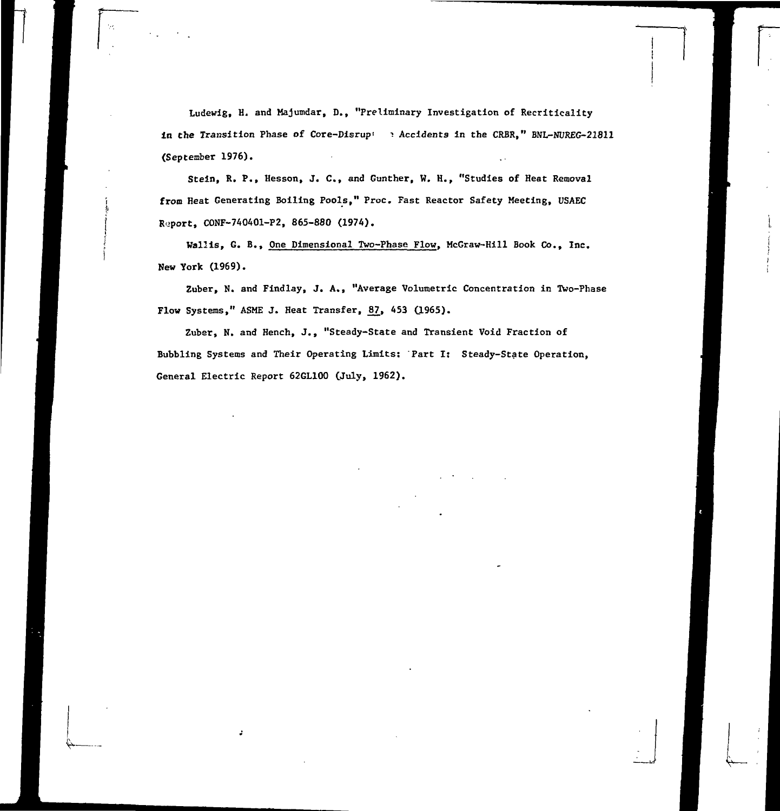Ludewig, H, and Majumdar, D., "Preliminary Investigation of Recritlcality in **the** Transition Phase of Core-Disrup' \*. Accidents in the CRBR," BNL-NUREG-21811 (September 1976).

Stein, R. P., Hesson, J. C., and Gunther, W. H., "Studies of Heat Removal from Heat Generating Boiling Pools," Proc. Fast Reactor Safety Meeting, USAEC Report, CONF-740401-P2, 865-880 (1974).

Wallis, G. B., One Dimensional Two-Phase Flow, McGraw-Hill Book Co., Inc. New York (1969).

Zuber, N. and Findlay, J. A., "Average Volumetric Concentration in Two-Phase Flow Systems," ASME J. Heat Transfer, 87, 453 (1965).

Zuber, N. and Hench, J., "Steady-State and Transient Void Fraction of Bubbling Systems and Their Operating Limits: Part I: Steady-State Operation, General Electric Report 62GL100 (July, 1962).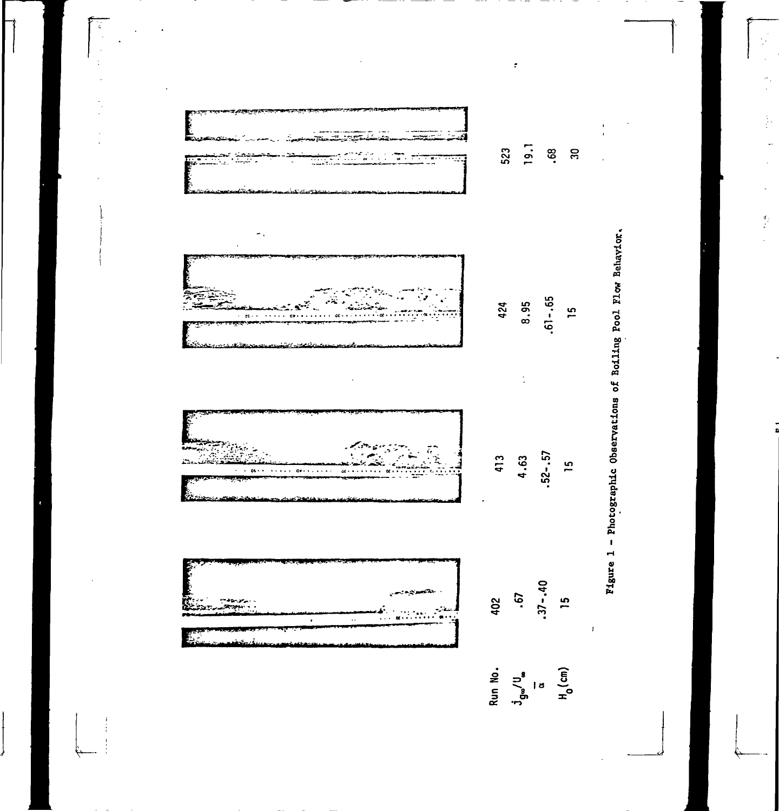ಾದ **19.1 CMm O** <u> Alban Maria (Maria Alban Maria )</u> **oo** $\cdot$  . The  $\tau$ Τ Ñá. **•**  $\omega_{\rm{in}}$  $\ddot{\phantom{a}}$ **• V ' -**  $\ddot{\phantom{0}}$ 424 **t nen** $\frac{15}{1}$ . C  $\pi$  $\mathfrak{B}(\cdot|\cdot)$  ,  $\cdot|\cdot|$  ,  $\cdot|\cdot|$  ,  $\mathfrak{B}(\cdot|\cdot|+\cdot|\cdot|\cdot|)$ **oo .— |,».J\*!Jt»"W » r c •— I o r o i n O -i n •tf- • i •— «\* • C M i n** رچيد **n CM vo i i o r^ f—** بتبيح  $\bar{\omega}$  $\bullet$ **1**  $\mathbf{r}$ **E**

**"3oopa 14JOS <uCO §• u60O . uo 0 )E**  $\label{eq:4} \frac{1}{4} \left( \begin{array}{cc} 1 & 0 \\ 0 & 1 \end{array} \right) \frac{d^2y}{dx^2} = \frac{1}{4} \left( \begin{array}{cc} 1 & 0 \\ 0 & 1 \end{array} \right) \frac{dy}{dx}$ 

 $\frac{1}{2}$ 

 $\ddot{\phantom{0}}$ 

 $\begin{array}{c} \mathcal{A}_{\mathcal{G}} \\ \mathcal{L} \end{array}$ 

 $\mathbf{r}$ 

**a : •>->**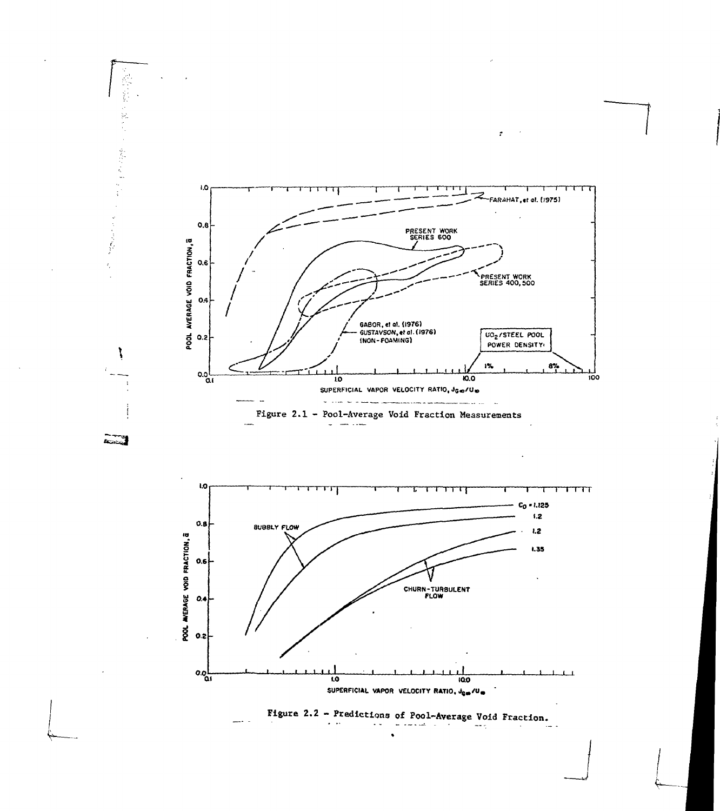

 $\bullet$